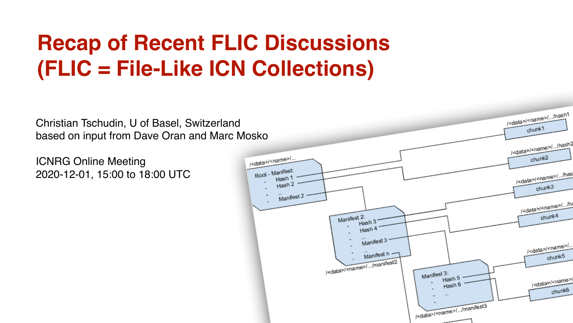#### **Recap of Recent FLIC Discussions (FLIC = File-Like ICN Collections)**

Christian Tschudin, U of Basel, Switzerland based on input from Dave Oran and Marc Mosko

ICNRG Online Meeting 2020-12-01, 15:00 to 18:00 UTC

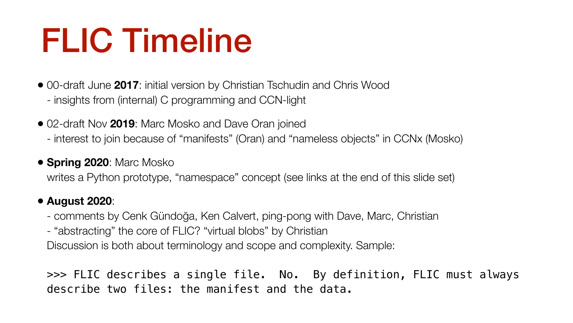## FLIC Timeline

- 00-draft June **2017**: initial version by Christian Tschudin and Chris Wood - insights from (internal) C programming and CCN-light
- 02-draft Nov **2019**: Marc Mosko and Dave Oran joined - interest to join because of "manifests" (Oran) and "nameless objects" in CCNx (Mosko)
- **Spring 2020**: Marc Mosko writes a Python prototype, "namespace" concept (see links at the end of this slide set)

>>> FLIC describes a single file. No. By definition, FLIC must always describe two files: the manifest and the data.

#### • **August 2020**:

- comments by Cenk Gündoğa, Ken Calvert, ping-pong with Dave, Marc, Christian - "abstracting" the core of FLIC? "virtual blobs" by Christian Discussion is both about terminology and scope and complexity. Sample: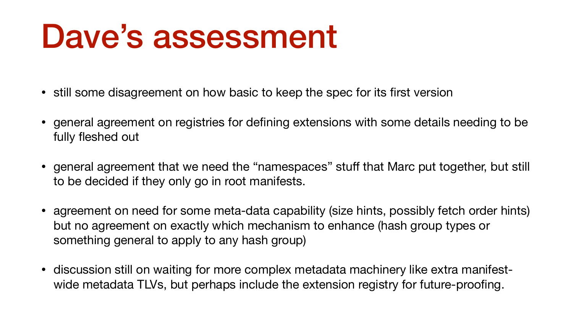### Dave's assessment

- still some disagreement on how basic to keep the spec for its first version
- general agreement on registries for defining extensions with some details needing to be fully fleshed out
- general agreement that we need the "namespaces" stuff that Marc put together, but still to be decided if they only go in root manifests.
- agreement on need for some meta-data capability (size hints, possibly fetch order hints) but no agreement on exactly which mechanism to enhance (hash group types or something general to apply to any hash group)
- discussion still on waiting for more complex metadata machinery like extra manifestwide metadata TLVs, but perhaps include the extension registry for future-proofing.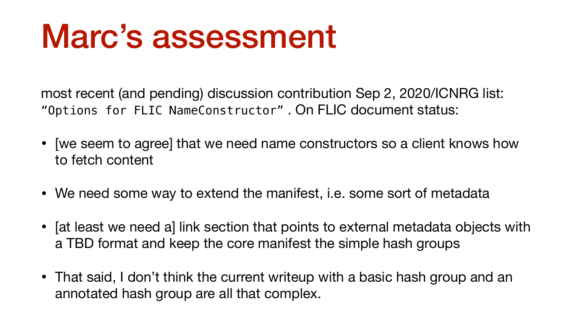### Marc's assessment

most recent (and pending) discussion contribution Sep 2, 2020/ICNRG list:

"Options for FLIC NameConstructor" . On FLIC document status:

- [we seem to agree] that we need name constructors so a client knows how to fetch content
- We need some way to extend the manifest, i.e. some sort of metadata
- [at least we need a] link section that points to external metadata objects with a TBD format and keep the core manifest the simple hash groups
- That said, I don't think the current writeup with a basic hash group and an annotated hash group are all that complex.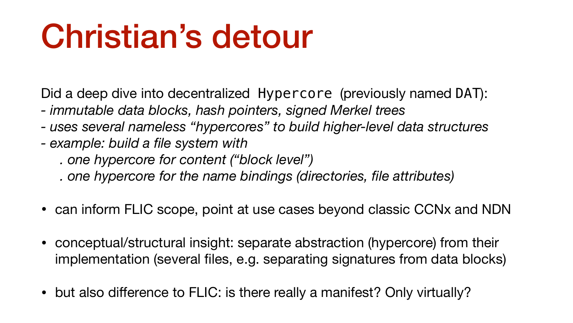# Christian's detour

- Did a deep dive into decentralized Hypercore (previously named DAT): *- immutable data blocks, hash pointers, signed Merkel trees - uses several nameless "hypercores" to build higher-level data structures*
- 
- *example: build a file system with*
	-
	- *. one hypercore for content ("block level") . one hypercore for the name bindings (directories, file attributes)*
- can inform FLIC scope, point at use cases beyond classic CCNx and NDN
- conceptual/structural insight: separate abstraction (hypercore) from their implementation (several files, e.g. separating signatures from data blocks)
- but also difference to FLIC: is there really a manifest? Only virtually?